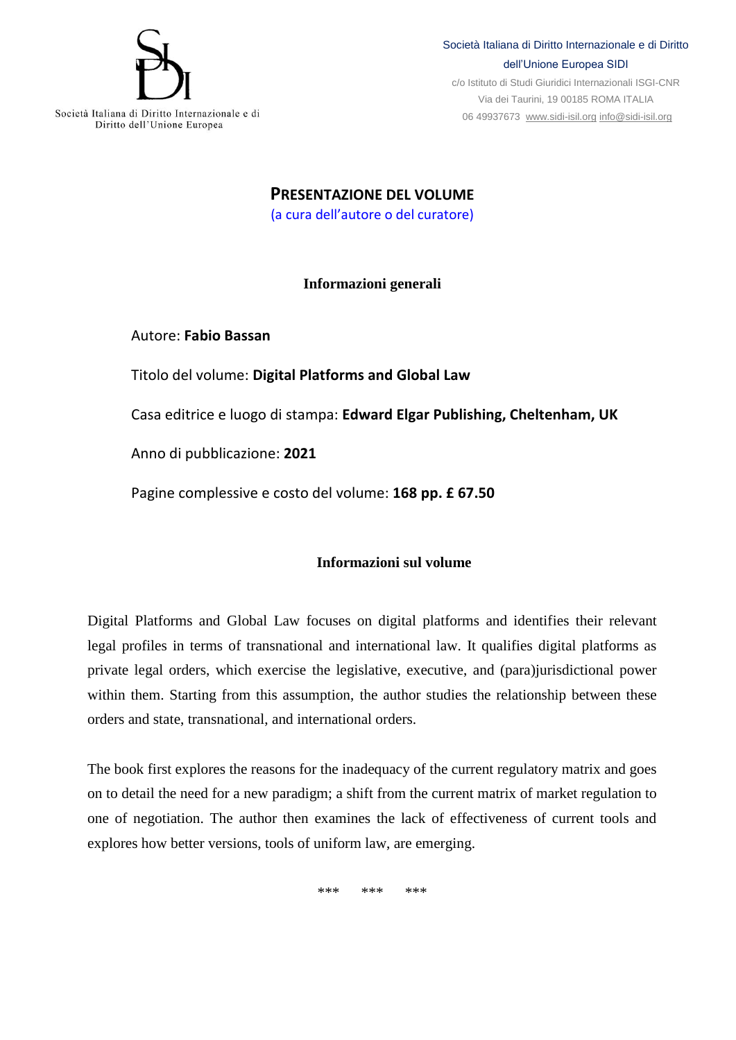

## Società Italiana di Diritto Internazionale e di Diritto dell'Unione Europea SIDI

c/o Istituto di Studi Giuridici Internazionali ISGI-CNR Via dei Taurini, 19 00185 ROMA ITALIA 06 49937673 [www.sidi-isil.org](http://www.sidi-isil.org/) [info@sidi-isil.org](mailto:info@sidi-isil.org)

**PRESENTAZIONE DEL VOLUME** (a cura dell'autore o del curatore)

## **Informazioni generali**

Autore: **Fabio Bassan**

Titolo del volume: **Digital Platforms and Global Law**

Casa editrice e luogo di stampa: **Edward Elgar Publishing, Cheltenham, UK**

Anno di pubblicazione: **2021**

Pagine complessive e costo del volume: **168 pp. £ 67.50**

## **Informazioni sul volume**

Digital Platforms and Global Law focuses on digital platforms and identifies their relevant legal profiles in terms of transnational and international law. It qualifies digital platforms as private legal orders, which exercise the legislative, executive, and (para)jurisdictional power within them. Starting from this assumption, the author studies the relationship between these orders and state, transnational, and international orders.

The book first explores the reasons for the inadequacy of the current regulatory matrix and goes on to detail the need for a new paradigm; a shift from the current matrix of market regulation to one of negotiation. The author then examines the lack of effectiveness of current tools and explores how better versions, tools of uniform law, are emerging.

 $*$  \*\*\*\*  $*$  \*\*\*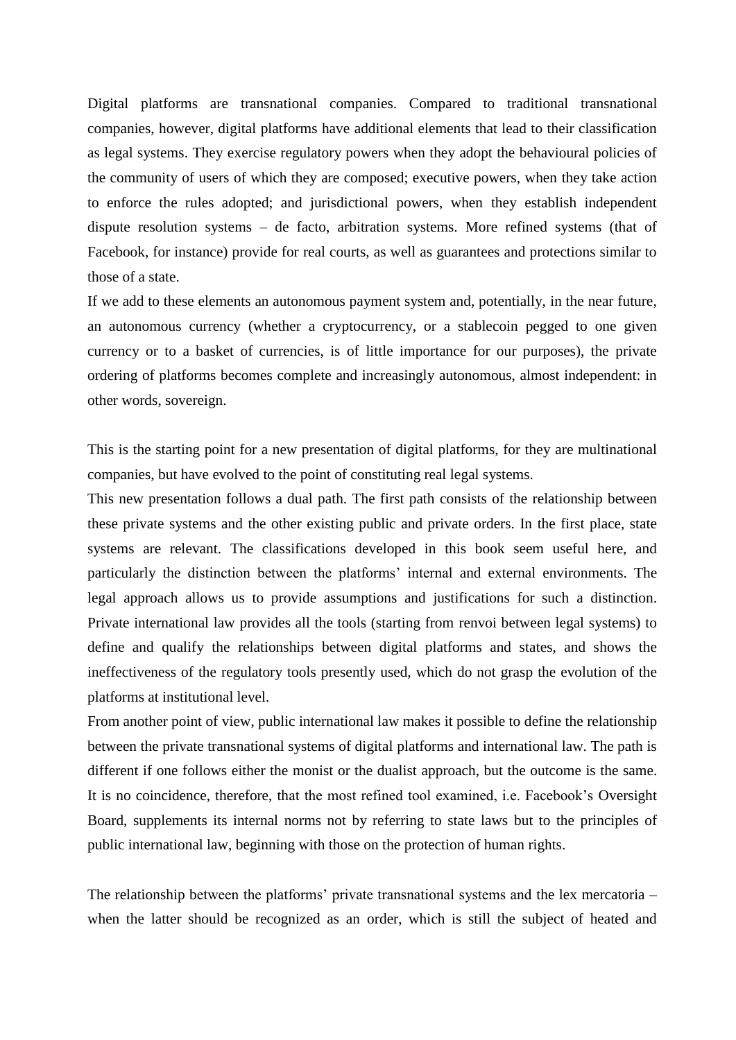Digital platforms are transnational companies. Compared to traditional transnational companies, however, digital platforms have additional elements that lead to their classification as legal systems. They exercise regulatory powers when they adopt the behavioural policies of the community of users of which they are composed; executive powers, when they take action to enforce the rules adopted; and jurisdictional powers, when they establish independent dispute resolution systems – de facto, arbitration systems. More refined systems (that of Facebook, for instance) provide for real courts, as well as guarantees and protections similar to those of a state.

If we add to these elements an autonomous payment system and, potentially, in the near future, an autonomous currency (whether a cryptocurrency, or a stablecoin pegged to one given currency or to a basket of currencies, is of little importance for our purposes), the private ordering of platforms becomes complete and increasingly autonomous, almost independent: in other words, sovereign.

This is the starting point for a new presentation of digital platforms, for they are multinational companies, but have evolved to the point of constituting real legal systems.

This new presentation follows a dual path. The first path consists of the relationship between these private systems and the other existing public and private orders. In the first place, state systems are relevant. The classifications developed in this book seem useful here, and particularly the distinction between the platforms' internal and external environments. The legal approach allows us to provide assumptions and justifications for such a distinction. Private international law provides all the tools (starting from renvoi between legal systems) to define and qualify the relationships between digital platforms and states, and shows the ineffectiveness of the regulatory tools presently used, which do not grasp the evolution of the platforms at institutional level.

From another point of view, public international law makes it possible to define the relationship between the private transnational systems of digital platforms and international law. The path is different if one follows either the monist or the dualist approach, but the outcome is the same. It is no coincidence, therefore, that the most refined tool examined, i.e. Facebook's Oversight Board, supplements its internal norms not by referring to state laws but to the principles of public international law, beginning with those on the protection of human rights.

The relationship between the platforms' private transnational systems and the lex mercatoria – when the latter should be recognized as an order, which is still the subject of heated and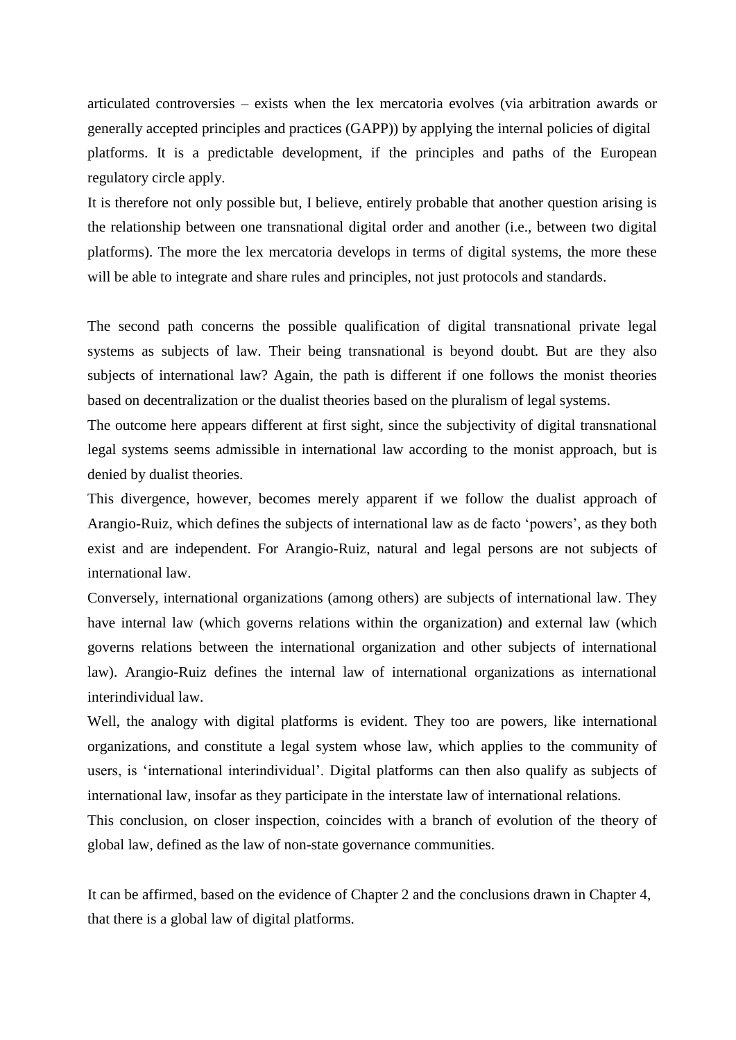articulated controversies – exists when the lex mercatoria evolves (via arbitration awards or generally accepted principles and practices (GAPP)) by applying the internal policies of digital platforms. It is a predictable development, if the principles and paths of the European regulatory circle apply.

It is therefore not only possible but, I believe, entirely probable that another question arising is the relationship between one transnational digital order and another (i.e., between two digital platforms). The more the lex mercatoria develops in terms of digital systems, the more these will be able to integrate and share rules and principles, not just protocols and standards.

The second path concerns the possible qualification of digital transnational private legal systems as subjects of law. Their being transnational is beyond doubt. But are they also subjects of international law? Again, the path is different if one follows the monist theories based on decentralization or the dualist theories based on the pluralism of legal systems.

The outcome here appears different at first sight, since the subjectivity of digital transnational legal systems seems admissible in international law according to the monist approach, but is denied by dualist theories.

This divergence, however, becomes merely apparent if we follow the dualist approach of Arangio-Ruiz, which defines the subjects of international law as de facto 'powers', as they both exist and are independent. For Arangio-Ruiz, natural and legal persons are not subjects of international law.

Conversely, international organizations (among others) are subjects of international law. They have internal law (which governs relations within the organization) and external law (which governs relations between the international organization and other subjects of international law). Arangio-Ruiz defines the internal law of international organizations as international interindividual law.

Well, the analogy with digital platforms is evident. They too are powers, like international organizations, and constitute a legal system whose law, which applies to the community of users, is 'international interindividual'. Digital platforms can then also qualify as subjects of international law, insofar as they participate in the interstate law of international relations.

This conclusion, on closer inspection, coincides with a branch of evolution of the theory of global law, defined as the law of non-state governance communities.

It can be affirmed, based on the evidence of Chapter 2 and the conclusions drawn in Chapter 4, that there is a global law of digital platforms.